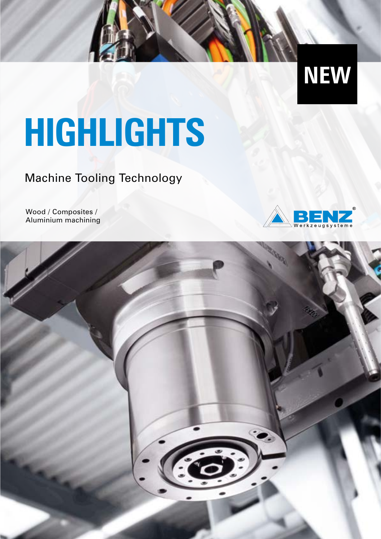

# **HIGHLIGHTS**

Machine Tooling Technology

Wood / Composites / Aluminium machining